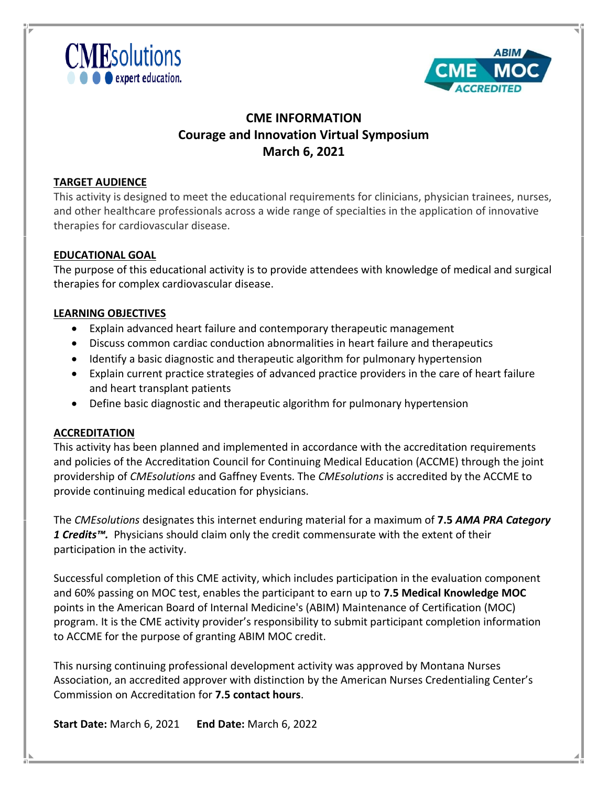



# **CME INFORMATION Courage and Innovation Virtual Symposium March 6, 2021**

### **TARGET AUDIENCE**

This activity is designed to meet the educational requirements for clinicians, physician trainees, nurses, and other healthcare professionals across a wide range of specialties in the application of innovative therapies for cardiovascular disease.

### **EDUCATIONAL GOAL**

The purpose of this educational activity is to provide attendees with knowledge of medical and surgical therapies for complex cardiovascular disease.

### **LEARNING OBJECTIVES**

- Explain advanced heart failure and contemporary therapeutic management
- Discuss common cardiac conduction abnormalities in heart failure and therapeutics
- Identify a basic diagnostic and therapeutic algorithm for pulmonary hypertension
- Explain current practice strategies of advanced practice providers in the care of heart failure and heart transplant patients
- Define basic diagnostic and therapeutic algorithm for pulmonary hypertension

#### **ACCREDITATION**

This activity has been planned and implemented in accordance with the accreditation requirements and policies of the Accreditation Council for Continuing Medical Education (ACCME) through the joint providership of *CMEsolutions* and Gaffney Events. The *CMEsolutions* is accredited by the ACCME to provide continuing medical education for physicians.

The *CMEsolutions* designates this internet enduring material for a maximum of **7.5** *AMA PRA Category 1 Credits™.*Physicians should claim only the credit commensurate with the extent of their participation in the activity.

Successful completion of this CME activity, which includes participation in the evaluation component and 60% passing on MOC test, enables the participant to earn up to **7.5 Medical Knowledge MOC** points in the American Board of Internal Medicine's (ABIM) Maintenance of Certification (MOC) program. It is the CME activity provider's responsibility to submit participant completion information to ACCME for the purpose of granting ABIM MOC credit.

This nursing continuing professional development activity was approved by Montana Nurses Association, an accredited approver with distinction by the American Nurses Credentialing Center's Commission on Accreditation for **7.5 contact hours**.

**Start Date:** March 6, 2021 **End Date:** March 6, 2022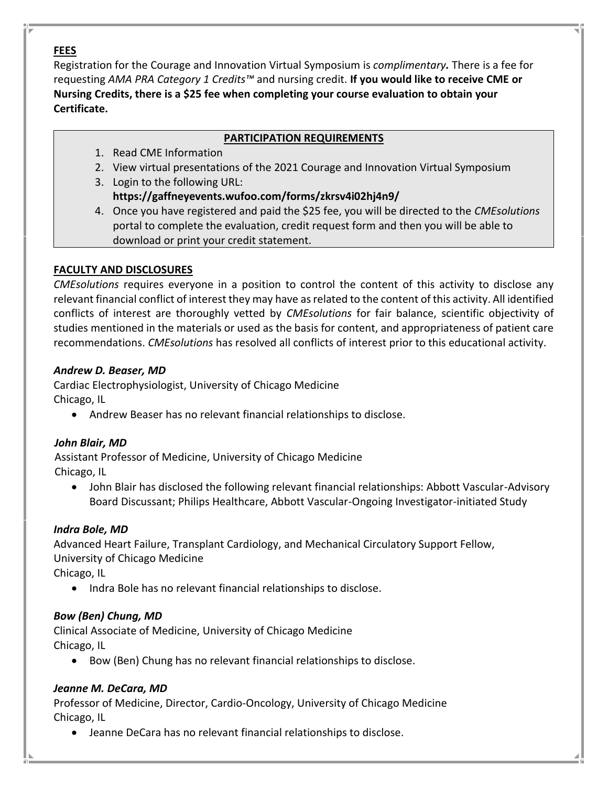### **FEES**

Registration for the Courage and Innovation Virtual Symposium is *complimentary.* There is a fee for requesting *AMA PRA Category 1 Credits™* and nursing credit. **If you would like to receive CME or Nursing Credits, there is a \$25 fee when completing your course evaluation to obtain your Certificate.**

### **PARTICIPATION REQUIREMENTS**

- 1. Read CME Information
- 2. View virtual presentations of the 2021 Courage and Innovation Virtual Symposium
- 3. Login to the following URL: **https://gaffneyevents.wufoo.com/forms/zkrsv4i02hj4n9/**
- 4. Once you have registered and paid the \$25 fee, you will be directed to the *CMEsolutions*  portal to complete the evaluation, credit request form and then you will be able to download or print your credit statement.

# **FACULTY AND DISCLOSURES**

*CMEsolutions* requires everyone in a position to control the content of this activity to disclose any relevant financial conflict of interest they may have as related to the content of this activity. All identified conflicts of interest are thoroughly vetted by *CMEsolutions* for fair balance, scientific objectivity of studies mentioned in the materials or used as the basis for content, and appropriateness of patient care recommendations. *CMEsolutions* has resolved all conflicts of interest prior to this educational activity.

### *Andrew D. Beaser, MD*

Cardiac Electrophysiologist, University of Chicago Medicine Chicago, IL

• Andrew Beaser has no relevant financial relationships to disclose.

# *John Blair, MD*

 Assistant Professor of Medicine, University of Chicago Medicine Chicago, IL

• John Blair has disclosed the following relevant financial relationships: Abbott Vascular-Advisory Board Discussant; Philips Healthcare, Abbott Vascular-Ongoing Investigator-initiated Study

# *Indra Bole, MD*

Advanced Heart Failure, Transplant Cardiology, and Mechanical Circulatory Support Fellow, University of Chicago Medicine

Chicago, IL

• Indra Bole has no relevant financial relationships to disclose.

# *Bow (Ben) Chung, MD*

Clinical Associate of Medicine, University of Chicago Medicine Chicago, IL

• Bow (Ben) Chung has no relevant financial relationships to disclose.

# *Jeanne M. DeCara, MD*

Professor of Medicine, Director, Cardio-Oncology, University of Chicago Medicine Chicago, IL

• Jeanne DeCara has no relevant financial relationships to disclose.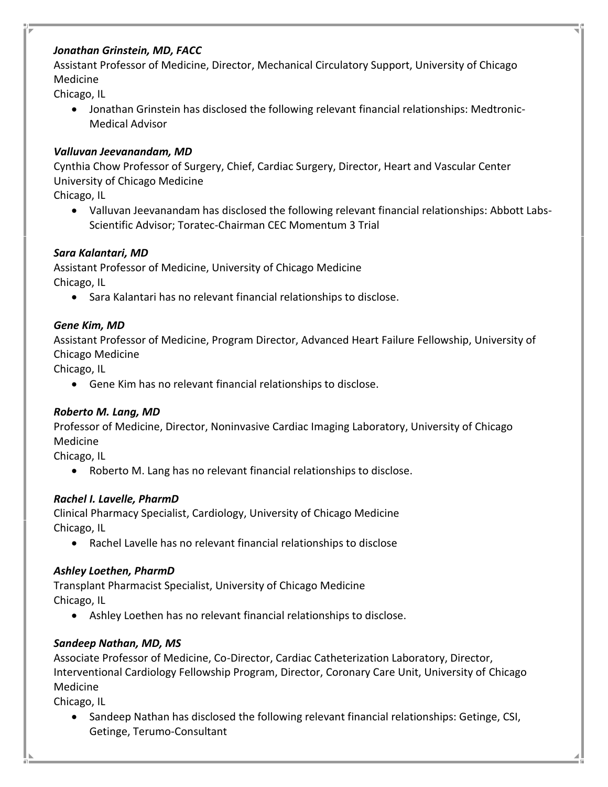### *Jonathan Grinstein, MD, FACC*

Assistant Professor of Medicine, Director, Mechanical Circulatory Support, University of Chicago Medicine

Chicago, IL

• Jonathan Grinstein has disclosed the following relevant financial relationships: Medtronic-Medical Advisor

### *Valluvan Jeevanandam, MD*

Cynthia Chow Professor of Surgery, Chief, Cardiac Surgery, Director, Heart and Vascular Center University of Chicago Medicine

Chicago, IL

• Valluvan Jeevanandam has disclosed the following relevant financial relationships: Abbott Labs-Scientific Advisor; Toratec-Chairman CEC Momentum 3 Trial

# *Sara Kalantari, MD*

Assistant Professor of Medicine, University of Chicago Medicine Chicago, IL

• Sara Kalantari has no relevant financial relationships to disclose.

# *Gene Kim, MD*

Assistant Professor of Medicine, Program Director, Advanced Heart Failure Fellowship, University of Chicago Medicine

Chicago, IL

• Gene Kim has no relevant financial relationships to disclose.

# *Roberto M. Lang, MD*

Professor of Medicine, Director, Noninvasive Cardiac Imaging Laboratory, University of Chicago Medicine

Chicago, IL

• Roberto M. Lang has no relevant financial relationships to disclose.

# *Rachel I. Lavelle, PharmD*

Clinical Pharmacy Specialist, Cardiology, University of Chicago Medicine Chicago, IL

• Rachel Lavelle has no relevant financial relationships to disclose

# *Ashley Loethen, PharmD*

Transplant Pharmacist Specialist, University of Chicago Medicine Chicago, IL

• Ashley Loethen has no relevant financial relationships to disclose.

# *Sandeep Nathan, MD, MS*

Associate Professor of Medicine, Co-Director, Cardiac Catheterization Laboratory, Director, Interventional Cardiology Fellowship Program, Director, Coronary Care Unit, University of Chicago Medicine

Chicago, IL

• Sandeep Nathan has disclosed the following relevant financial relationships: Getinge, CSI, Getinge, Terumo-Consultant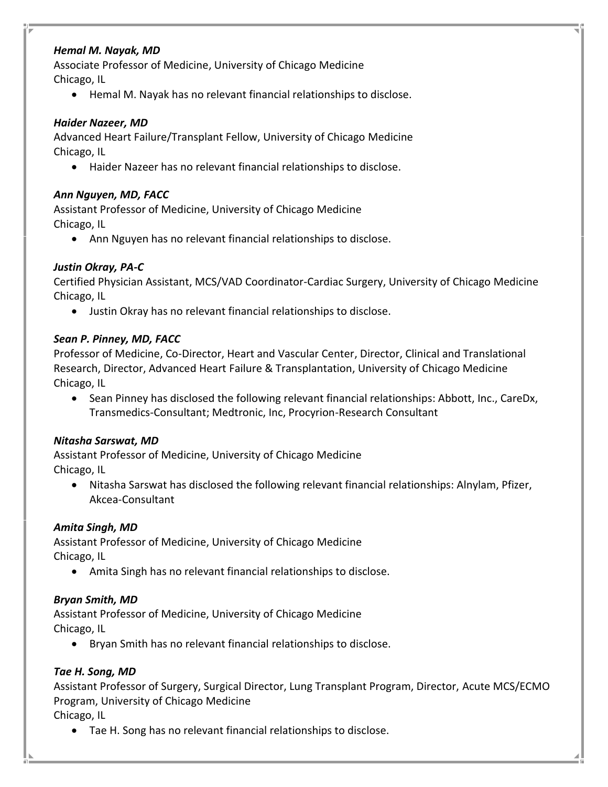### *Hemal M. Nayak, MD*

Associate Professor of Medicine, University of Chicago Medicine Chicago, IL

• Hemal M. Nayak has no relevant financial relationships to disclose.

#### *Haider Nazeer, MD*

Advanced Heart Failure/Transplant Fellow, University of Chicago Medicine Chicago, IL

• Haider Nazeer has no relevant financial relationships to disclose.

#### *Ann Nguyen, MD, FACC*

Assistant Professor of Medicine, University of Chicago Medicine Chicago, IL

• Ann Nguyen has no relevant financial relationships to disclose.

### *Justin Okray, PA-C*

Certified Physician Assistant, MCS/VAD Coordinator-Cardiac Surgery, University of Chicago Medicine Chicago, IL

• Justin Okray has no relevant financial relationships to disclose.

### *Sean P. Pinney, MD, FACC*

Professor of Medicine, Co-Director, Heart and Vascular Center, Director, Clinical and Translational Research, Director, Advanced Heart Failure & Transplantation, University of Chicago Medicine Chicago, IL

• Sean Pinney has disclosed the following relevant financial relationships: Abbott, Inc., CareDx, Transmedics-Consultant; Medtronic, Inc, Procyrion-Research Consultant

#### *Nitasha Sarswat, MD*

Assistant Professor of Medicine, University of Chicago Medicine Chicago, IL

• Nitasha Sarswat has disclosed the following relevant financial relationships: Alnylam, Pfizer, Akcea-Consultant

#### *Amita Singh, MD*

Assistant Professor of Medicine, University of Chicago Medicine Chicago, IL

• Amita Singh has no relevant financial relationships to disclose.

#### *Bryan Smith, MD*

Assistant Professor of Medicine, University of Chicago Medicine Chicago, IL

• Bryan Smith has no relevant financial relationships to disclose.

### *Tae H. Song, MD*

Assistant Professor of Surgery, Surgical Director, Lung Transplant Program, Director, Acute MCS/ECMO Program, University of Chicago Medicine

Chicago, IL

• Tae H. Song has no relevant financial relationships to disclose.